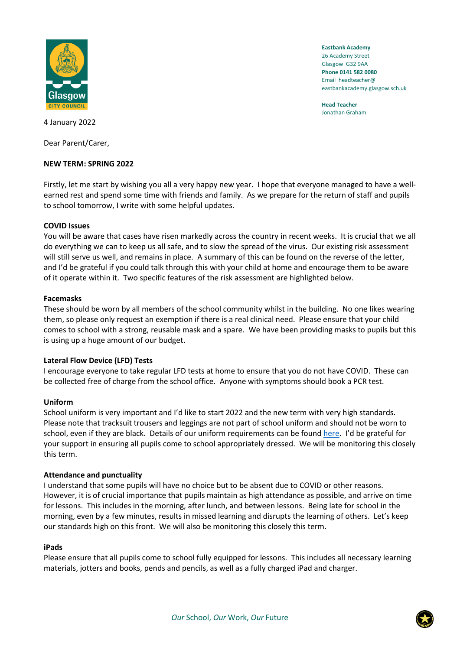

**Eastbank Academy** 26 Academy Street Glasgow G32 9AA **Phone 0141 582 0080** Email headteacher@ eastbankacademy.glasgow.sch.uk

**Head Teacher** Jonathan Graham

4 January 2022

Dear Parent/Carer,

# **NEW TERM: SPRING 2022**

Firstly, let me start by wishing you all a very happy new year. I hope that everyone managed to have a wellearned rest and spend some time with friends and family. As we prepare for the return of staff and pupils to school tomorrow, I write with some helpful updates.

# **COVID Issues**

You will be aware that cases have risen markedly across the country in recent weeks. It is crucial that we all do everything we can to keep us all safe, and to slow the spread of the virus. Our existing risk assessment will still serve us well, and remains in place. A summary of this can be found on the reverse of the letter, and I'd be grateful if you could talk through this with your child at home and encourage them to be aware of it operate within it. Two specific features of the risk assessment are highlighted below.

### **Facemasks**

These should be worn by all members of the school community whilst in the building. No one likes wearing them, so please only request an exemption if there is a real clinical need. Please ensure that your child comes to school with a strong, reusable mask and a spare. We have been providing masks to pupils but this is using up a huge amount of our budget.

# **Lateral Flow Device (LFD) Tests**

I encourage everyone to take regular LFD tests at home to ensure that you do not have COVID. These can be collected free of charge from the school office. Anyone with symptoms should book a PCR test.

### **Uniform**

School uniform is very important and I'd like to start 2022 and the new term with very high standards. Please note that tracksuit trousers and leggings are not part of school uniform and should not be worn to school, even if they are black. Details of our uniform requirements can be found [here.](chrome-extension://efaidnbmnnnibpcajpcglclefindmkaj/viewer.html?pdfurl=https%3A%2F%2Fmanage.appscentral.co.uk%2Fuploads%2Fclient%2Fdocuments%2F4306%2F105a_Uniform%2520leaflet.pdf&clen=14788024&chunk=true) I'd be grateful for your support in ensuring all pupils come to school appropriately dressed. We will be monitoring this closely this term.

### **Attendance and punctuality**

I understand that some pupils will have no choice but to be absent due to COVID or other reasons. However, it is of crucial importance that pupils maintain as high attendance as possible, and arrive on time for lessons. This includes in the morning, after lunch, and between lessons. Being late for school in the morning, even by a few minutes, results in missed learning and disrupts the learning of others. Let's keep our standards high on this front. We will also be monitoring this closely this term.

### **iPads**

Please ensure that all pupils come to school fully equipped for lessons. This includes all necessary learning materials, jotters and books, pends and pencils, as well as a fully charged iPad and charger.